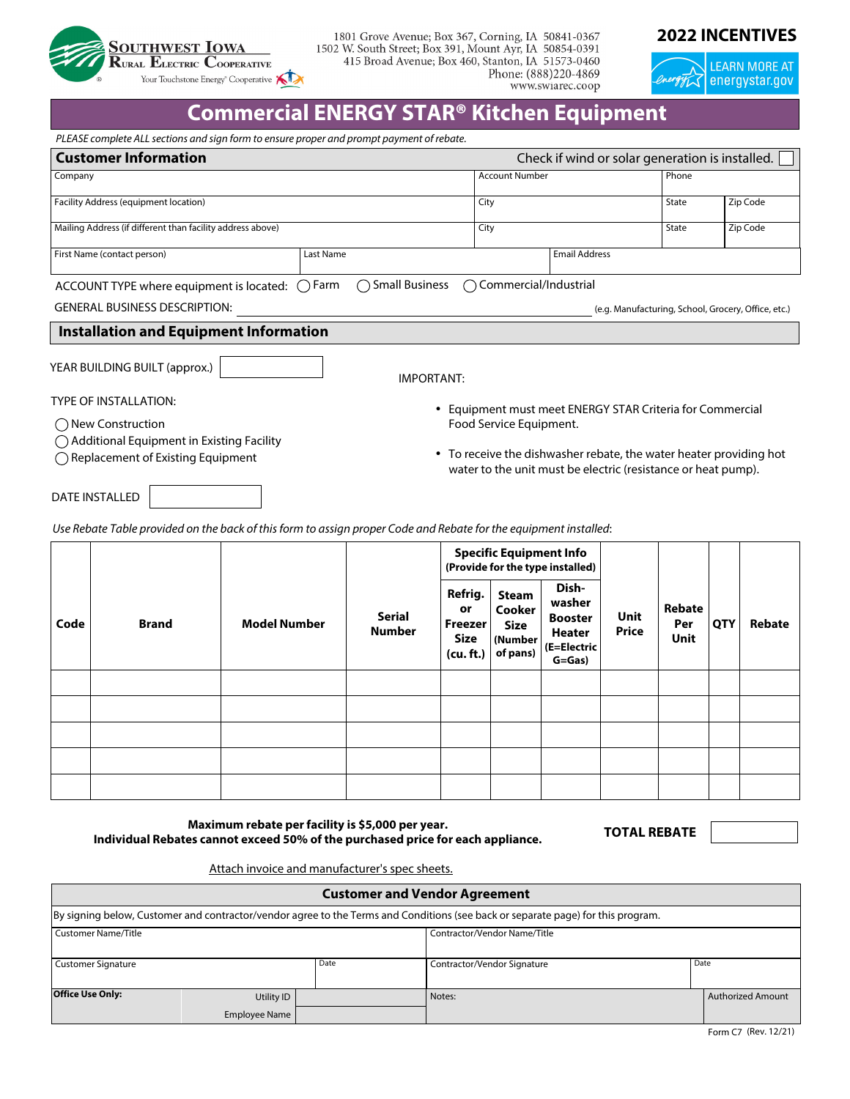

1801 Grove Avenue; Box 367, Corning, IA 50841-0367 1502 W. South Street; Box 391, Mount Ayr, IA 50854-0391 415 Broad Avenue; Box 460, Stanton, IA 51573-0460 Phone: (888)220-4869 www.swiarec.coop



**LEARN MORE AT** energystar.gov

## **Commercial ENERGY STAR® Kitchen Equipment**

 *PLEASE complete ALL sections and sign form to ensure proper and prompt payment of rebate.*  **Customer Information** Check if wind or solar generation is installed. Account Number **Phone Company** Facility Address (equipment location) **City** State Zip Code Mailing Address (if different than facility address above) **City** State Zip Code First Name (contact person) Last Name Email Address ACCOUNT TYPE where equipment is located:  $\bigcirc$  Farm  $\bigcirc$  Small Business  $\bigcirc$  Commercial/Industrial GENERAL BUSINESS DESCRIPTION: (e.g. Manufacturing, School, Grocery, Office, etc.)  **Installation and Equipment Information** YEAR BUILDING BUILT (approx.) IMPORTANT: TYPE OF INSTALLATION: • Equipment must meet ENERGY STAR Criteria for Commercial ◯ New Construction Food Service Equipment. Additional Equipment in Existing Facility • To receive the dishwasher rebate, the water heater providing hot ◯ Replacement of Existing Equipment water to the unit must be electric (resistance or heat pump). DATE INSTALLED *Use Rebate Table provided on the back of this form to assign proper Code and Rebate for the equipment installed*: **Specific Equipment Info (Provide for the type installed) Dish-Refrig. Steam washer Rebate or Cooker Code Brand Model Number Serial Unit Booster Freezer Per QTY Rebate Size Number Price Heater Unit Size (Number (E=Electric (cu. ft.) of pans) G=Gas)**  $\overline{\phantom{0}}$  $\overline{\phantom{0}}$ 

 $\blacktriangledown$  $\overline{\phantom{0}}$ **Maximum rebate per facility is \$5,000 per year.** 

**Individual Rebates cannot exceed 50% of the purchased price for each appliance. TOTAL REBATE**

 $\overline{\phantom{a}}$ 

Attach invoice and manufacturer's spec sheets.

| <b>Customer and Vendor Agreement</b> |               |      |                                                                                                                                  |  |                          |  |  |  |
|--------------------------------------|---------------|------|----------------------------------------------------------------------------------------------------------------------------------|--|--------------------------|--|--|--|
|                                      |               |      | By signing below, Customer and contractor/vendor agree to the Terms and Conditions (see back or separate page) for this program. |  |                          |  |  |  |
| Customer Name/Title                  |               |      | Contractor/Vendor Name/Title                                                                                                     |  |                          |  |  |  |
| <b>Customer Signature</b>            |               | Date | Contractor/Vendor Signature                                                                                                      |  | Date                     |  |  |  |
| <b>Office Use Only:</b>              | Utility ID    |      | Notes:                                                                                                                           |  | <b>Authorized Amount</b> |  |  |  |
|                                      | Employee Name |      |                                                                                                                                  |  |                          |  |  |  |